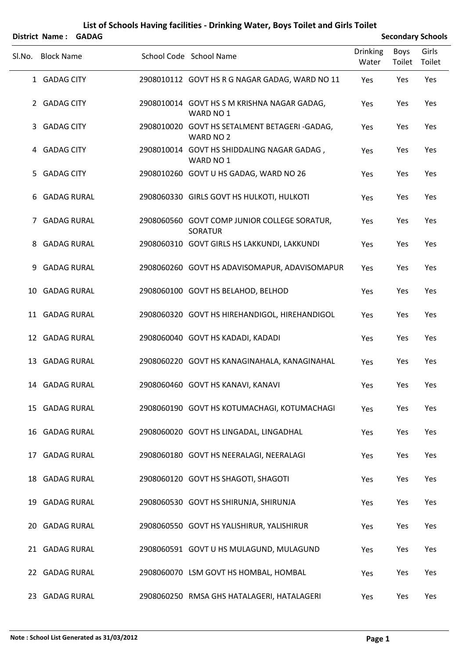|        | District Name: GADAG |  |                                                                |                          |                       | <b>Secondary Schools</b> |
|--------|----------------------|--|----------------------------------------------------------------|--------------------------|-----------------------|--------------------------|
| SI.No. | <b>Block Name</b>    |  | School Code School Name                                        | <b>Drinking</b><br>Water | <b>Boys</b><br>Toilet | Girls<br>Toilet          |
|        | 1 GADAG CITY         |  | 2908010112 GOVT HS R G NAGAR GADAG, WARD NO 11                 | Yes                      | Yes                   | Yes                      |
|        | 2 GADAG CITY         |  | 2908010014 GOVT HS S M KRISHNA NAGAR GADAG,<br>WARD NO 1       | Yes                      | Yes                   | Yes                      |
| 3      | <b>GADAG CITY</b>    |  | 2908010020 GOVT HS SETALMENT BETAGERI-GADAG,<br>WARD NO 2      | Yes                      | Yes                   | Yes                      |
|        | 4 GADAG CITY         |  | 2908010014 GOVT HS SHIDDALING NAGAR GADAG,<br>WARD NO 1        | Yes                      | Yes                   | Yes                      |
| 5.     | <b>GADAG CITY</b>    |  | 2908010260 GOVT U HS GADAG, WARD NO 26                         | Yes                      | Yes                   | Yes                      |
| 6      | <b>GADAG RURAL</b>   |  | 2908060330 GIRLS GOVT HS HULKOTI, HULKOTI                      | Yes                      | Yes                   | Yes                      |
| 7      | <b>GADAG RURAL</b>   |  | 2908060560 GOVT COMP JUNIOR COLLEGE SORATUR,<br><b>SORATUR</b> | Yes                      | Yes                   | Yes                      |
| 8      | <b>GADAG RURAL</b>   |  | 2908060310 GOVT GIRLS HS LAKKUNDI, LAKKUNDI                    | Yes                      | Yes                   | Yes                      |
| 9.     | <b>GADAG RURAL</b>   |  | 2908060260 GOVT HS ADAVISOMAPUR, ADAVISOMAPUR                  | Yes                      | Yes                   | Yes                      |
| 10     | <b>GADAG RURAL</b>   |  | 2908060100 GOVT HS BELAHOD, BELHOD                             | Yes                      | Yes                   | Yes                      |
|        | 11 GADAG RURAL       |  | 2908060320 GOVT HS HIREHANDIGOL, HIREHANDIGOL                  | Yes                      | Yes                   | Yes                      |
|        | 12 GADAG RURAL       |  | 2908060040 GOVT HS KADADI, KADADI                              | Yes                      | Yes                   | Yes                      |
|        | 13 GADAG RURAL       |  | 2908060220 GOVT HS KANAGINAHALA, KANAGINAHAL                   | Yes                      | Yes                   | Yes                      |
|        | 14 GADAG RURAL       |  | 2908060460 GOVT HS KANAVI, KANAVI                              | Yes                      | Yes                   | Yes                      |
|        | 15 GADAG RURAL       |  | 2908060190 GOVT HS KOTUMACHAGI, KOTUMACHAGI                    | Yes                      | Yes                   | Yes                      |
|        | 16 GADAG RURAL       |  | 2908060020 GOVT HS LINGADAL, LINGADHAL                         | Yes                      | Yes                   | Yes                      |
|        | 17 GADAG RURAL       |  | 2908060180 GOVT HS NEERALAGI, NEERALAGI                        | Yes                      | Yes                   | Yes                      |
|        | 18 GADAG RURAL       |  | 2908060120 GOVT HS SHAGOTI, SHAGOTI                            | Yes                      | Yes                   | Yes                      |
|        | 19 GADAG RURAL       |  | 2908060530 GOVT HS SHIRUNJA, SHIRUNJA                          | Yes                      | Yes                   | Yes                      |
|        | 20 GADAG RURAL       |  | 2908060550 GOVT HS YALISHIRUR, YALISHIRUR                      | Yes                      | Yes                   | Yes                      |
|        | 21 GADAG RURAL       |  | 2908060591 GOVT U HS MULAGUND, MULAGUND                        | Yes                      | Yes                   | Yes                      |
|        | 22 GADAG RURAL       |  | 2908060070 LSM GOVT HS HOMBAL, HOMBAL                          | Yes                      | Yes                   | Yes                      |
|        | 23 GADAG RURAL       |  | 2908060250 RMSA GHS HATALAGERI, HATALAGERI                     | Yes                      | Yes                   | Yes                      |

## **List of Schools Having facilities ‐ Drinking Water, Boys Toilet and Girls Toilet**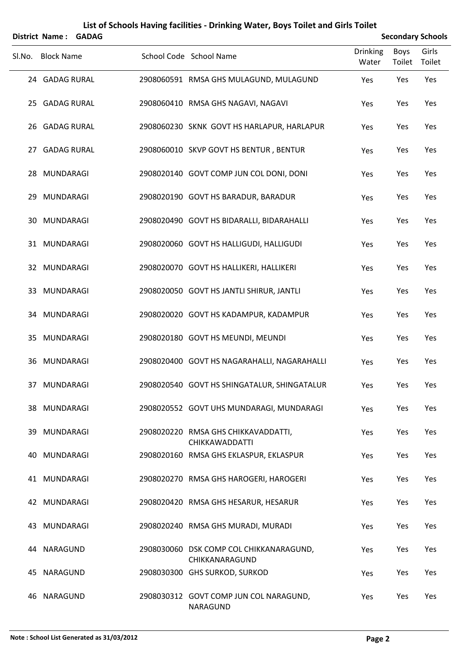| List of Schools Having facilities - Drinking Water, Boys Toilet and Girls Toilet<br><b>Secondary Schools</b><br><b>District Name:</b><br><b>GADAG</b> |                   |  |  |                                                           |                          |                       |                 |  |
|-------------------------------------------------------------------------------------------------------------------------------------------------------|-------------------|--|--|-----------------------------------------------------------|--------------------------|-----------------------|-----------------|--|
| Sl.No.                                                                                                                                                | <b>Block Name</b> |  |  | School Code School Name                                   | <b>Drinking</b><br>Water | <b>Boys</b><br>Toilet | Girls<br>Toilet |  |
|                                                                                                                                                       | 24 GADAG RURAL    |  |  | 2908060591 RMSA GHS MULAGUND, MULAGUND                    | Yes                      | Yes                   | Yes             |  |
|                                                                                                                                                       | 25 GADAG RURAL    |  |  | 2908060410 RMSA GHS NAGAVI, NAGAVI                        | Yes                      | Yes                   | Yes             |  |
|                                                                                                                                                       | 26 GADAG RURAL    |  |  | 2908060230 SKNK GOVT HS HARLAPUR, HARLAPUR                | Yes                      | Yes                   | Yes             |  |
|                                                                                                                                                       | 27 GADAG RURAL    |  |  | 2908060010 SKVP GOVT HS BENTUR, BENTUR                    | Yes                      | Yes                   | Yes             |  |
| 28                                                                                                                                                    | MUNDARAGI         |  |  | 2908020140 GOVT COMP JUN COL DONI, DONI                   | Yes                      | Yes                   | Yes             |  |
| 29                                                                                                                                                    | MUNDARAGI         |  |  | 2908020190 GOVT HS BARADUR, BARADUR                       | Yes                      | Yes                   | Yes             |  |
| 30                                                                                                                                                    | MUNDARAGI         |  |  | 2908020490 GOVT HS BIDARALLI, BIDARAHALLI                 | Yes                      | Yes                   | Yes             |  |
|                                                                                                                                                       | 31 MUNDARAGI      |  |  | 2908020060 GOVT HS HALLIGUDI, HALLIGUDI                   | Yes                      | Yes                   | Yes             |  |
|                                                                                                                                                       | 32 MUNDARAGI      |  |  | 2908020070 GOVT HS HALLIKERI, HALLIKERI                   | Yes                      | Yes                   | Yes             |  |
|                                                                                                                                                       | 33 MUNDARAGI      |  |  | 2908020050 GOVT HS JANTLI SHIRUR, JANTLI                  | Yes                      | Yes                   | Yes             |  |
| 34                                                                                                                                                    | MUNDARAGI         |  |  | 2908020020 GOVT HS KADAMPUR, KADAMPUR                     | Yes                      | Yes                   | Yes             |  |
| 35                                                                                                                                                    | <b>MUNDARAGI</b>  |  |  | 2908020180 GOVT HS MEUNDI, MEUNDI                         | Yes                      | Yes                   | Yes             |  |
|                                                                                                                                                       | 36 MUNDARAGI      |  |  | 2908020400 GOVT HS NAGARAHALLI, NAGARAHALLI               | Yes                      | Yes                   | Yes             |  |
|                                                                                                                                                       | 37 MUNDARAGI      |  |  | 2908020540 GOVT HS SHINGATALUR, SHINGATALUR               | Yes                      | Yes                   | Yes             |  |
|                                                                                                                                                       | 38 MUNDARAGI      |  |  | 2908020552 GOVT UHS MUNDARAGI, MUNDARAGI                  | Yes                      | Yes                   | Yes             |  |
| 39                                                                                                                                                    | MUNDARAGI         |  |  | 2908020220 RMSA GHS CHIKKAVADDATTI,<br>CHIKKAWADDATTI     | Yes                      | Yes                   | Yes             |  |
| 40.                                                                                                                                                   | MUNDARAGI         |  |  | 2908020160 RMSA GHS EKLASPUR, EKLASPUR                    | Yes                      | Yes                   | Yes             |  |
|                                                                                                                                                       | 41 MUNDARAGI      |  |  | 2908020270 RMSA GHS HAROGERI, HAROGERI                    | Yes                      | Yes                   | Yes             |  |
|                                                                                                                                                       | 42 MUNDARAGI      |  |  | 2908020420 RMSA GHS HESARUR, HESARUR                      | Yes                      | Yes                   | Yes             |  |
| 43.                                                                                                                                                   | MUNDARAGI         |  |  | 2908020240 RMSA GHS MURADI, MURADI                        | Yes                      | Yes                   | Yes             |  |
| 44                                                                                                                                                    | NARAGUND          |  |  | 2908030060 DSK COMP COL CHIKKANARAGUND,<br>CHIKKANARAGUND | Yes                      | Yes                   | Yes             |  |
| 45                                                                                                                                                    | NARAGUND          |  |  | 2908030300 GHS SURKOD, SURKOD                             | Yes                      | Yes                   | Yes             |  |
| 46.                                                                                                                                                   | NARAGUND          |  |  | 2908030312 GOVT COMP JUN COL NARAGUND,<br>NARAGUND        | Yes                      | Yes                   | Yes             |  |

## **Note : School List Generated as 31/03/2012 Page 2**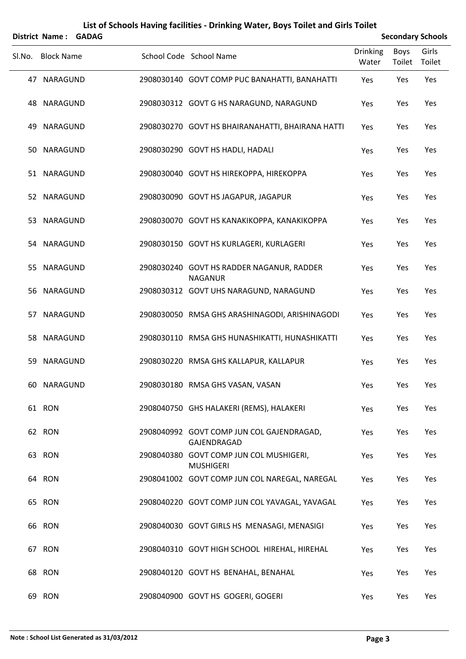| List of Schools Having facilities - Drinking Water, Boys Toilet and Girls Toilet<br><b>Secondary Schools</b><br><b>District Name:</b><br><b>GADAG</b> |                   |  |  |                                                             |                          |                       |                 |  |
|-------------------------------------------------------------------------------------------------------------------------------------------------------|-------------------|--|--|-------------------------------------------------------------|--------------------------|-----------------------|-----------------|--|
|                                                                                                                                                       |                   |  |  |                                                             |                          |                       |                 |  |
| Sl.No.                                                                                                                                                | <b>Block Name</b> |  |  | School Code School Name                                     | <b>Drinking</b><br>Water | <b>Boys</b><br>Toilet | Girls<br>Toilet |  |
|                                                                                                                                                       | 47 NARAGUND       |  |  | 2908030140 GOVT COMP PUC BANAHATTI, BANAHATTI               | Yes                      | Yes                   | Yes             |  |
|                                                                                                                                                       | 48 NARAGUND       |  |  | 2908030312 GOVT G HS NARAGUND, NARAGUND                     | Yes                      | Yes                   | Yes             |  |
| 49                                                                                                                                                    | NARAGUND          |  |  | 2908030270 GOVT HS BHAIRANAHATTI, BHAIRANA HATTI            | Yes                      | Yes                   | Yes             |  |
|                                                                                                                                                       | 50 NARAGUND       |  |  | 2908030290 GOVT HS HADLI, HADALI                            | Yes                      | Yes                   | Yes             |  |
|                                                                                                                                                       | 51 NARAGUND       |  |  | 2908030040 GOVT HS HIREKOPPA, HIREKOPPA                     | Yes                      | Yes                   | Yes             |  |
|                                                                                                                                                       | 52 NARAGUND       |  |  | 2908030090 GOVT HS JAGAPUR, JAGAPUR                         | Yes                      | Yes                   | Yes             |  |
| 53                                                                                                                                                    | NARAGUND          |  |  | 2908030070 GOVT HS KANAKIKOPPA, KANAKIKOPPA                 | Yes                      | Yes                   | Yes             |  |
|                                                                                                                                                       | 54 NARAGUND       |  |  | 2908030150 GOVT HS KURLAGERI, KURLAGERI                     | Yes                      | Yes                   | Yes             |  |
| 55                                                                                                                                                    | NARAGUND          |  |  | 2908030240 GOVT HS RADDER NAGANUR, RADDER<br><b>NAGANUR</b> | Yes                      | Yes                   | Yes             |  |
|                                                                                                                                                       | 56 NARAGUND       |  |  | 2908030312 GOVT UHS NARAGUND, NARAGUND                      | Yes                      | Yes                   | Yes             |  |
| 57                                                                                                                                                    | NARAGUND          |  |  | 2908030050 RMSA GHS ARASHINAGODI, ARISHINAGODI              | Yes                      | Yes                   | Yes             |  |
| 58                                                                                                                                                    | NARAGUND          |  |  | 2908030110 RMSA GHS HUNASHIKATTI, HUNASHIKATTI              | Yes                      | Yes                   | Yes             |  |
| 59                                                                                                                                                    | NARAGUND          |  |  | 2908030220 RMSA GHS KALLAPUR, KALLAPUR                      | Yes                      | Yes                   | Yes             |  |
|                                                                                                                                                       | 60 NARAGUND       |  |  | 2908030180 RMSA GHS VASAN, VASAN                            | Yes                      | Yes                   | Yes             |  |
|                                                                                                                                                       | 61 RON            |  |  | 2908040750 GHS HALAKERI (REMS), HALAKERI                    | Yes                      | Yes                   | Yes             |  |
|                                                                                                                                                       | 62 RON            |  |  | 2908040992 GOVT COMP JUN COL GAJENDRAGAD,<br>GAJENDRAGAD    | Yes                      | Yes                   | Yes             |  |
|                                                                                                                                                       | 63 RON            |  |  | 2908040380 GOVT COMP JUN COL MUSHIGERI,<br><b>MUSHIGERI</b> | Yes                      | Yes                   | Yes             |  |
|                                                                                                                                                       | 64 RON            |  |  | 2908041002 GOVT COMP JUN COL NAREGAL, NAREGAL               | Yes                      | Yes                   | Yes             |  |
|                                                                                                                                                       | 65 RON            |  |  | 2908040220 GOVT COMP JUN COL YAVAGAL, YAVAGAL               | Yes                      | Yes                   | Yes             |  |
|                                                                                                                                                       | 66 RON            |  |  | 2908040030 GOVT GIRLS HS MENASAGI, MENASIGI                 | Yes                      | Yes                   | Yes             |  |
|                                                                                                                                                       | 67 RON            |  |  | 2908040310 GOVT HIGH SCHOOL HIREHAL, HIREHAL                | Yes                      | Yes                   | Yes             |  |
|                                                                                                                                                       | 68 RON            |  |  | 2908040120 GOVT HS BENAHAL, BENAHAL                         | Yes                      | Yes                   | Yes             |  |
|                                                                                                                                                       | 69 RON            |  |  | 2908040900 GOVT HS GOGERI, GOGERI                           | Yes                      | Yes                   | Yes             |  |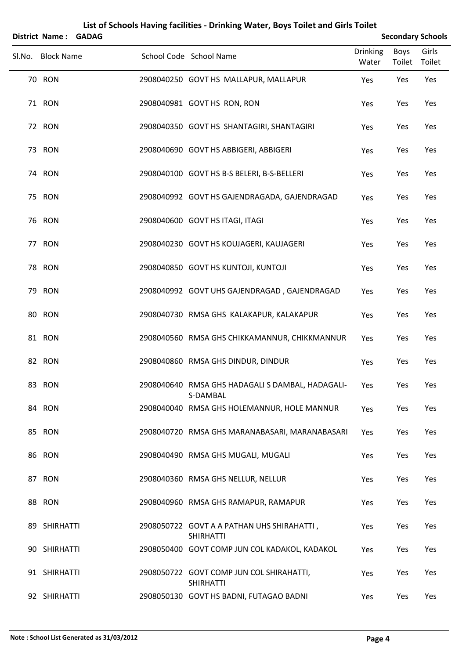|        | District Name: GADAG |  |                                                                | <b>Secondary Schools</b> |                |                 |  |
|--------|----------------------|--|----------------------------------------------------------------|--------------------------|----------------|-----------------|--|
| SI.No. | <b>Block Name</b>    |  | School Code School Name                                        | <b>Drinking</b><br>Water | Boys<br>Toilet | Girls<br>Toilet |  |
|        | <b>70 RON</b>        |  | 2908040250 GOVT HS MALLAPUR, MALLAPUR                          | Yes                      | Yes            | Yes             |  |
|        | 71 RON               |  | 2908040981 GOVT HS RON, RON                                    | Yes                      | Yes            | Yes             |  |
|        | 72 RON               |  | 2908040350 GOVT HS SHANTAGIRI, SHANTAGIRI                      | Yes                      | Yes            | Yes             |  |
|        | 73 RON               |  | 2908040690 GOVT HS ABBIGERI, ABBIGERI                          | Yes                      | Yes            | Yes             |  |
|        | <b>74 RON</b>        |  | 2908040100 GOVT HS B-S BELERI, B-S-BELLERI                     | Yes                      | Yes            | Yes             |  |
|        | 75 RON               |  | 2908040992 GOVT HS GAJENDRAGADA, GAJENDRAGAD                   | Yes                      | Yes            | Yes             |  |
|        | 76 RON               |  | 2908040600 GOVT HS ITAGI, ITAGI                                | Yes                      | Yes            | Yes             |  |
|        | 77 RON               |  | 2908040230 GOVT HS KOUJAGERI, KAUJAGERI                        | Yes                      | Yes            | Yes             |  |
|        | <b>78 RON</b>        |  | 2908040850 GOVT HS KUNTOJI, KUNTOJI                            | Yes                      | Yes            | Yes             |  |
|        | 79 RON               |  | 2908040992 GOVT UHS GAJENDRAGAD, GAJENDRAGAD                   | Yes                      | Yes            | Yes             |  |
|        | 80 RON               |  | 2908040730 RMSA GHS KALAKAPUR, KALAKAPUR                       | Yes                      | Yes            | Yes             |  |
|        | 81 RON               |  | 2908040560 RMSA GHS CHIKKAMANNUR, CHIKKMANNUR                  | Yes                      | Yes            | Yes             |  |
|        | 82 RON               |  | 2908040860 RMSA GHS DINDUR, DINDUR                             | Yes                      | Yes            | Yes             |  |
|        | 83 RON               |  | 2908040640 RMSA GHS HADAGALI S DAMBAL, HADAGALI-<br>S-DAMBAL   | Yes                      | Yes            | Yes             |  |
|        | 84 RON               |  | 2908040040 RMSA GHS HOLEMANNUR, HOLE MANNUR                    | Yes                      | Yes            | Yes             |  |
|        | 85 RON               |  | 2908040720 RMSA GHS MARANABASARI, MARANABASARI                 | Yes                      | Yes            | Yes             |  |
|        | 86 RON               |  | 2908040490 RMSA GHS MUGALI, MUGALI                             | Yes                      | Yes            | Yes             |  |
|        | 87 RON               |  | 2908040360 RMSA GHS NELLUR, NELLUR                             | Yes                      | Yes            | Yes             |  |
|        | 88 RON               |  | 2908040960 RMSA GHS RAMAPUR, RAMAPUR                           | Yes                      | Yes            | Yes             |  |
|        | 89 SHIRHATTI         |  | 2908050722 GOVT A A PATHAN UHS SHIRAHATTI,<br><b>SHIRHATTI</b> | Yes                      | Yes            | Yes             |  |
|        | 90 SHIRHATTI         |  | 2908050400 GOVT COMP JUN COL KADAKOL, KADAKOL                  | Yes                      | Yes            | Yes             |  |
|        | 91 SHIRHATTI         |  | 2908050722 GOVT COMP JUN COL SHIRAHATTI,<br><b>SHIRHATTI</b>   | Yes                      | Yes            | Yes             |  |
|        | 92 SHIRHATTI         |  | 2908050130 GOVT HS BADNI, FUTAGAO BADNI                        | Yes                      | Yes            | Yes             |  |

## **List of Schools Having facilities ‐ Drinking Water, Boys Toilet and Girls Toilet**